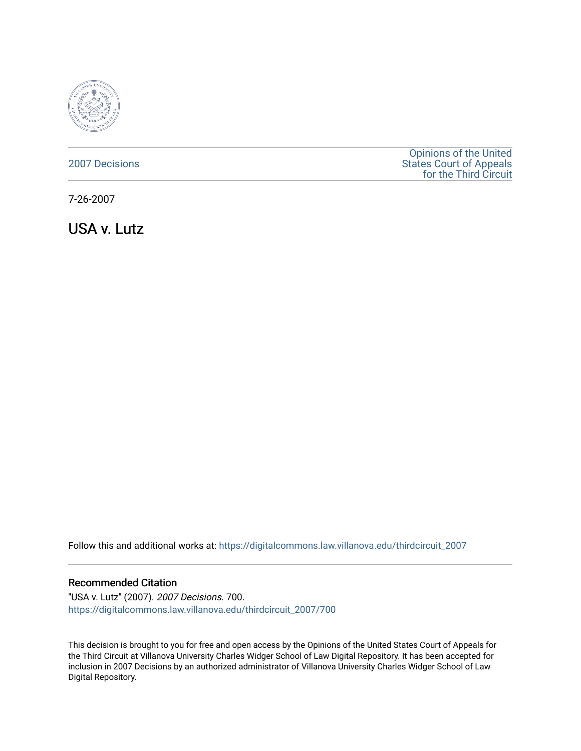

## [2007 Decisions](https://digitalcommons.law.villanova.edu/thirdcircuit_2007)

[Opinions of the United](https://digitalcommons.law.villanova.edu/thirdcircuit)  [States Court of Appeals](https://digitalcommons.law.villanova.edu/thirdcircuit)  [for the Third Circuit](https://digitalcommons.law.villanova.edu/thirdcircuit) 

7-26-2007

USA v. Lutz

Follow this and additional works at: [https://digitalcommons.law.villanova.edu/thirdcircuit\\_2007](https://digitalcommons.law.villanova.edu/thirdcircuit_2007?utm_source=digitalcommons.law.villanova.edu%2Fthirdcircuit_2007%2F700&utm_medium=PDF&utm_campaign=PDFCoverPages) 

#### Recommended Citation

"USA v. Lutz" (2007). 2007 Decisions. 700. [https://digitalcommons.law.villanova.edu/thirdcircuit\\_2007/700](https://digitalcommons.law.villanova.edu/thirdcircuit_2007/700?utm_source=digitalcommons.law.villanova.edu%2Fthirdcircuit_2007%2F700&utm_medium=PDF&utm_campaign=PDFCoverPages)

This decision is brought to you for free and open access by the Opinions of the United States Court of Appeals for the Third Circuit at Villanova University Charles Widger School of Law Digital Repository. It has been accepted for inclusion in 2007 Decisions by an authorized administrator of Villanova University Charles Widger School of Law Digital Repository.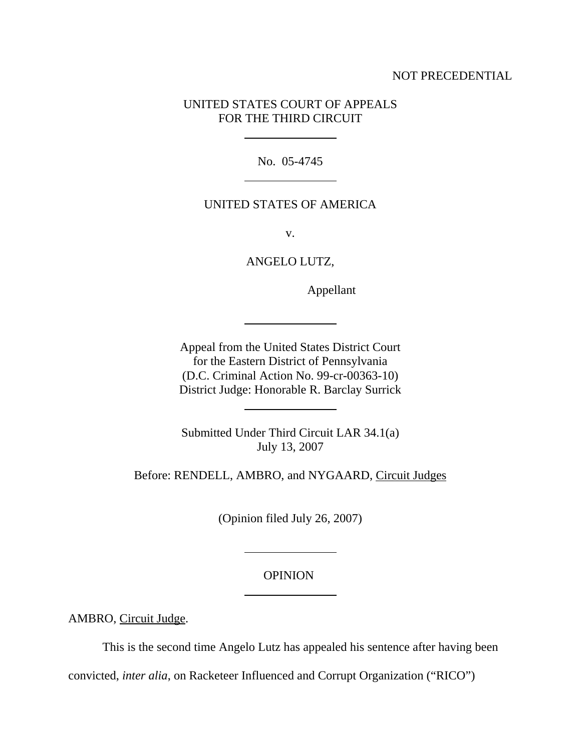## NOT PRECEDENTIAL

# UNITED STATES COURT OF APPEALS FOR THE THIRD CIRCUIT

 $\overline{a}$ 

 $\overline{a}$ 

 $\overline{a}$ 

 $\overline{a}$ 

 $\overline{a}$ 

 $\overline{a}$ 

No. 05-4745

## UNITED STATES OF AMERICA

v.

ANGELO LUTZ,

Appellant

Appeal from the United States District Court for the Eastern District of Pennsylvania (D.C. Criminal Action No. 99-cr-00363-10) District Judge: Honorable R. Barclay Surrick

Submitted Under Third Circuit LAR 34.1(a) July 13, 2007

Before: RENDELL, AMBRO, and NYGAARD, Circuit Judges

(Opinion filed July 26, 2007)

### **OPINION**

AMBRO, Circuit Judge.

This is the second time Angelo Lutz has appealed his sentence after having been

convicted, *inter alia*, on Racketeer Influenced and Corrupt Organization ("RICO")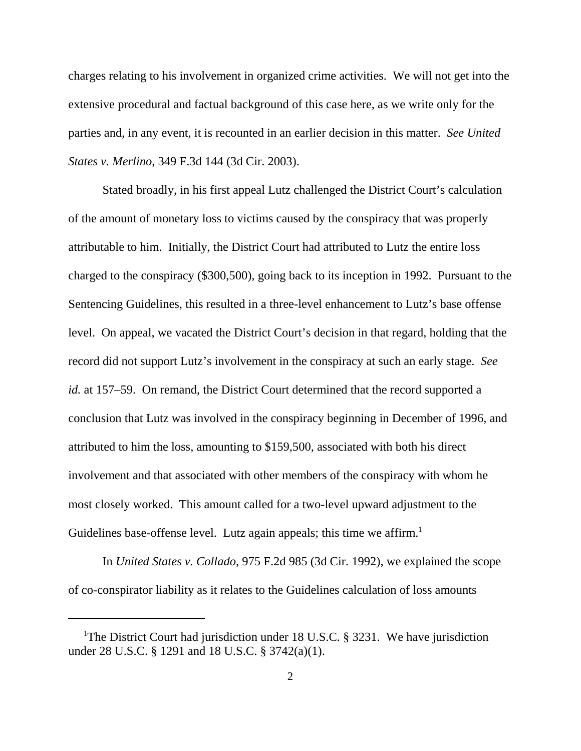charges relating to his involvement in organized crime activities. We will not get into the extensive procedural and factual background of this case here, as we write only for the parties and, in any event, it is recounted in an earlier decision in this matter. *See United States v. Merlino*, 349 F.3d 144 (3d Cir. 2003).

Stated broadly, in his first appeal Lutz challenged the District Court's calculation of the amount of monetary loss to victims caused by the conspiracy that was properly attributable to him. Initially, the District Court had attributed to Lutz the entire loss charged to the conspiracy (\$300,500), going back to its inception in 1992. Pursuant to the Sentencing Guidelines, this resulted in a three-level enhancement to Lutz's base offense level. On appeal, we vacated the District Court's decision in that regard, holding that the record did not support Lutz's involvement in the conspiracy at such an early stage. *See id.* at 157–59. On remand, the District Court determined that the record supported a conclusion that Lutz was involved in the conspiracy beginning in December of 1996, and attributed to him the loss, amounting to \$159,500, associated with both his direct involvement and that associated with other members of the conspiracy with whom he most closely worked. This amount called for a two-level upward adjustment to the Guidelines base-offense level. Lutz again appeals; this time we affirm.<sup>1</sup>

In *United States v. Collado*, 975 F.2d 985 (3d Cir. 1992), we explained the scope of co-conspirator liability as it relates to the Guidelines calculation of loss amounts

<sup>&</sup>lt;sup>1</sup>The District Court had jurisdiction under 18 U.S.C. § 3231. We have jurisdiction under 28 U.S.C. § 1291 and 18 U.S.C. § 3742(a)(1).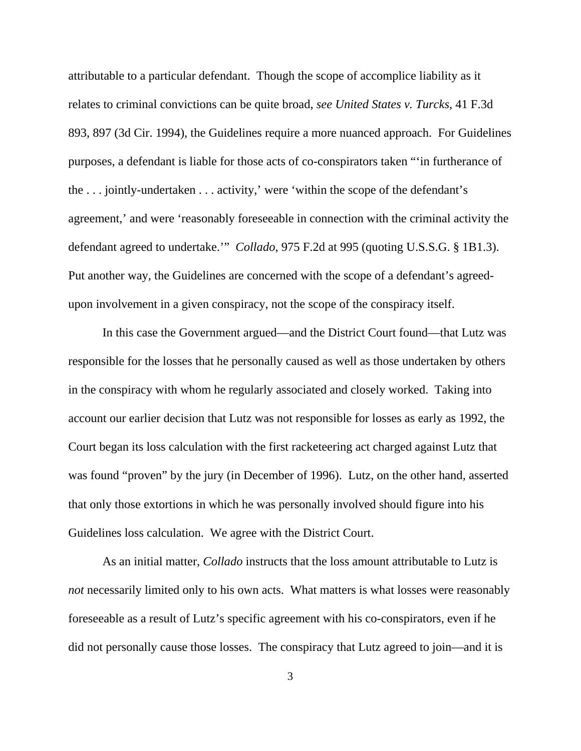attributable to a particular defendant. Though the scope of accomplice liability as it relates to criminal convictions can be quite broad, *see United States v. Turcks*, 41 F.3d 893, 897 (3d Cir. 1994), the Guidelines require a more nuanced approach. For Guidelines purposes, a defendant is liable for those acts of co-conspirators taken "'in furtherance of the . . . jointly-undertaken . . . activity,' were 'within the scope of the defendant's agreement,' and were 'reasonably foreseeable in connection with the criminal activity the defendant agreed to undertake.'" *Collado*, 975 F.2d at 995 (quoting U.S.S.G. § 1B1.3). Put another way, the Guidelines are concerned with the scope of a defendant's agreedupon involvement in a given conspiracy, not the scope of the conspiracy itself.

In this case the Government argued—and the District Court found—that Lutz was responsible for the losses that he personally caused as well as those undertaken by others in the conspiracy with whom he regularly associated and closely worked. Taking into account our earlier decision that Lutz was not responsible for losses as early as 1992, the Court began its loss calculation with the first racketeering act charged against Lutz that was found "proven" by the jury (in December of 1996). Lutz, on the other hand, asserted that only those extortions in which he was personally involved should figure into his Guidelines loss calculation. We agree with the District Court.

As an initial matter, *Collado* instructs that the loss amount attributable to Lutz is *not* necessarily limited only to his own acts. What matters is what losses were reasonably foreseeable as a result of Lutz's specific agreement with his co-conspirators, even if he did not personally cause those losses. The conspiracy that Lutz agreed to join—and it is